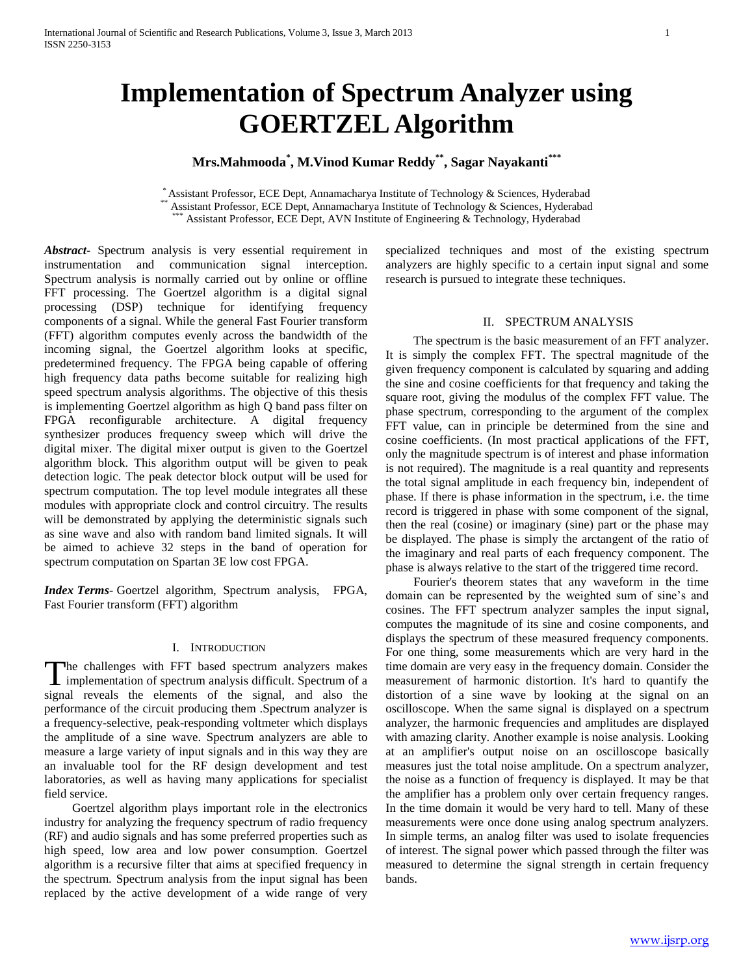# **Implementation of Spectrum Analyzer using GOERTZEL Algorithm**

# **Mrs.Mahmooda\* , M.Vinod Kumar Reddy\*\* , Sagar Nayakanti\*\*\***

\* Assistant Professor, ECE Dept, Annamacharya Institute of Technology & Sciences, Hyderabad Assistant Professor, ECE Dept, Annamacharya Institute of Technology & Sciences, Hyderabad Assistant Professor, ECE Dept, AVN Institute of Engineering & Technology, Hyderabad

*Abstract***-** Spectrum analysis is very essential requirement in instrumentation and communication signal interception. Spectrum analysis is normally carried out by online or offline FFT processing. The Goertzel algorithm is a digital signal processing (DSP) technique for identifying frequency components of a signal. While the general Fast Fourier transform (FFT) algorithm computes evenly across the bandwidth of the incoming signal, the Goertzel algorithm looks at specific, predetermined frequency. The FPGA being capable of offering high frequency data paths become suitable for realizing high speed spectrum analysis algorithms. The objective of this thesis is implementing Goertzel algorithm as high Q band pass filter on FPGA reconfigurable architecture. A digital frequency synthesizer produces frequency sweep which will drive the digital mixer. The digital mixer output is given to the Goertzel algorithm block. This algorithm output will be given to peak detection logic. The peak detector block output will be used for spectrum computation. The top level module integrates all these modules with appropriate clock and control circuitry. The results will be demonstrated by applying the deterministic signals such as sine wave and also with random band limited signals. It will be aimed to achieve 32 steps in the band of operation for spectrum computation on Spartan 3E low cost FPGA.

*Index Terms*- Goertzel algorithm, Spectrum analysis, FPGA, Fast Fourier transform (FFT) algorithm

# I. INTRODUCTION

The challenges with FFT based spectrum analyzers makes The challenges with FFT based spectrum analyzers makes inplementation of spectrum analysis difficult. Spectrum of a signal reveals the elements of the signal, and also the performance of the circuit producing them .Spectrum analyzer is a frequency-selective, peak-responding voltmeter which displays the amplitude of a sine wave. Spectrum analyzers are able to measure a large variety of input signals and in this way they are an invaluable tool for the RF design development and test laboratories, as well as having many applications for specialist field service.

 Goertzel algorithm plays important role in the electronics industry for analyzing the frequency spectrum of radio frequency (RF) and audio signals and has some preferred properties such as high speed, low area and low power consumption. Goertzel algorithm is a recursive filter that aims at specified frequency in the spectrum. Spectrum analysis from the input signal has been replaced by the active development of a wide range of very

specialized techniques and most of the existing spectrum analyzers are highly specific to a certain input signal and some research is pursued to integrate these techniques.

#### II. SPECTRUM ANALYSIS

 The spectrum is the basic measurement of an FFT analyzer. It is simply the complex FFT. The spectral magnitude of the given frequency component is calculated by squaring and adding the sine and cosine coefficients for that frequency and taking the square root, giving the modulus of the complex FFT value. The phase spectrum, corresponding to the argument of the complex FFT value, can in principle be determined from the sine and cosine coefficients. (In most practical applications of the FFT, only the magnitude spectrum is of interest and phase information is not required). The magnitude is a real quantity and represents the total signal amplitude in each frequency bin, independent of phase. If there is phase information in the spectrum, i.e. the time record is triggered in phase with some component of the signal, then the real (cosine) or imaginary (sine) part or the phase may be displayed. The phase is simply the arctangent of the ratio of the imaginary and real parts of each frequency component. The phase is always relative to the start of the triggered time record.

 Fourier's theorem states that any waveform in the time domain can be represented by the weighted sum of sine's and cosines. The FFT spectrum analyzer samples the input signal, computes the magnitude of its sine and cosine components, and displays the spectrum of these measured frequency components. For one thing, some measurements which are very hard in the time domain are very easy in the frequency domain. Consider the measurement of harmonic distortion. It's hard to quantify the distortion of a sine wave by looking at the signal on an oscilloscope. When the same signal is displayed on a spectrum analyzer, the harmonic frequencies and amplitudes are displayed with amazing clarity. Another example is noise analysis. Looking at an amplifier's output noise on an oscilloscope basically measures just the total noise amplitude. On a spectrum analyzer, the noise as a function of frequency is displayed. It may be that the amplifier has a problem only over certain frequency ranges. In the time domain it would be very hard to tell. Many of these measurements were once done using analog spectrum analyzers. In simple terms, an analog filter was used to isolate frequencies of interest. The signal power which passed through the filter was measured to determine the signal strength in certain frequency bands.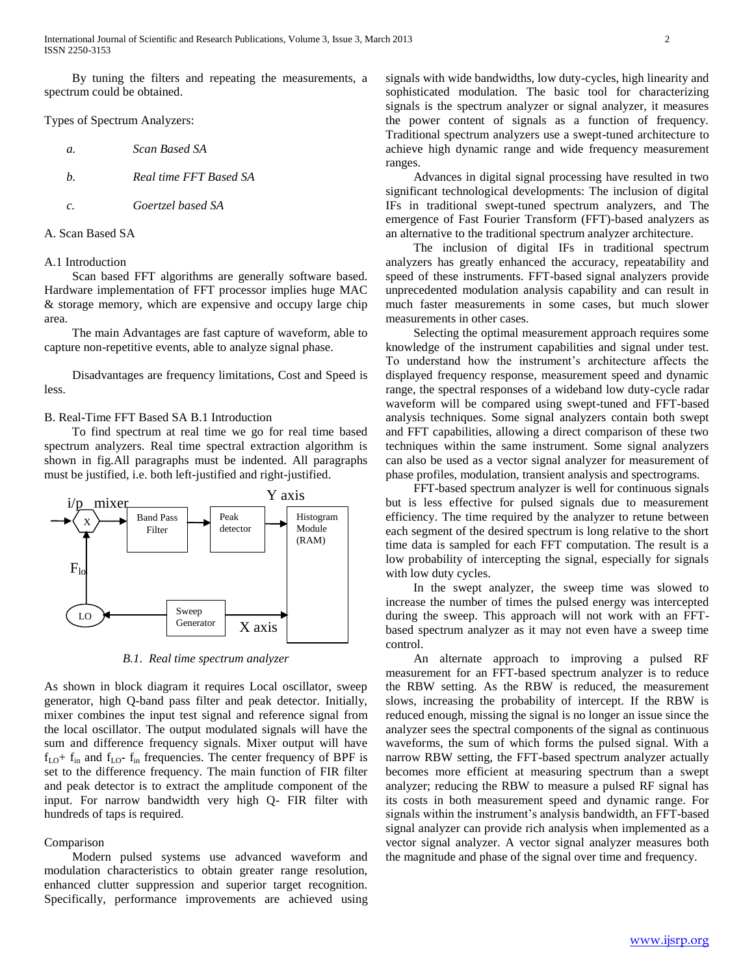International Journal of Scientific and Research Publications, Volume 3, Issue 3, March 2013 2 ISSN 2250-3153

 By tuning the filters and repeating the measurements, a spectrum could be obtained.

### Types of Spectrum Analyzers:

| а.          | Scan Based SA          |  |
|-------------|------------------------|--|
| $h_{\cdot}$ | Real time FFT Based SA |  |
| c.          | Goertzel based SA      |  |

#### A. Scan Based SA

# A.1 Introduction

 Scan based FFT algorithms are generally software based. Hardware implementation of FFT processor implies huge MAC & storage memory, which are expensive and occupy large chip area.

 The main Advantages are fast capture of waveform, able to capture non-repetitive events, able to analyze signal phase.

 Disadvantages are frequency limitations, Cost and Speed is less.

## B. Real-Time FFT Based SA B.1 Introduction

 To find spectrum at real time we go for real time based spectrum analyzers. Real time spectral extraction algorithm is shown in fig.All paragraphs must be indented. All paragraphs must be justified, i.e. both left-justified and right-justified.



*B.1. Real time spectrum analyzer*

As shown in block diagram it requires Local oscillator, sweep generator, high Q-band pass filter and peak detector. Initially, mixer combines the input test signal and reference signal from the local oscillator. The output modulated signals will have the sum and difference frequency signals. Mixer output will have  $f_{LO}$ +  $f_{in}$  and  $f_{LO}$ -  $f_{in}$  frequencies. The center frequency of BPF is set to the difference frequency. The main function of FIR filter and peak detector is to extract the amplitude component of the input. For narrow bandwidth very high Q- FIR filter with hundreds of taps is required.

#### Comparison

 Modern pulsed systems use advanced waveform and modulation characteristics to obtain greater range resolution, enhanced clutter suppression and superior target recognition. Specifically, performance improvements are achieved using signals with wide bandwidths, low duty-cycles, high linearity and sophisticated modulation. The basic tool for characterizing signals is the spectrum analyzer or signal analyzer, it measures the power content of signals as a function of frequency. Traditional spectrum analyzers use a swept-tuned architecture to achieve high dynamic range and wide frequency measurement ranges.

 Advances in digital signal processing have resulted in two significant technological developments: The inclusion of digital IFs in traditional swept-tuned spectrum analyzers, and The emergence of Fast Fourier Transform (FFT)-based analyzers as an alternative to the traditional spectrum analyzer architecture.

 The inclusion of digital IFs in traditional spectrum analyzers has greatly enhanced the accuracy, repeatability and speed of these instruments. FFT-based signal analyzers provide unprecedented modulation analysis capability and can result in much faster measurements in some cases, but much slower measurements in other cases.

 Selecting the optimal measurement approach requires some knowledge of the instrument capabilities and signal under test. To understand how the instrument's architecture affects the displayed frequency response, measurement speed and dynamic range, the spectral responses of a wideband low duty-cycle radar waveform will be compared using swept-tuned and FFT-based analysis techniques. Some signal analyzers contain both swept and FFT capabilities, allowing a direct comparison of these two techniques within the same instrument. Some signal analyzers can also be used as a vector signal analyzer for measurement of phase profiles, modulation, transient analysis and spectrograms.

 FFT-based spectrum analyzer is well for continuous signals but is less effective for pulsed signals due to measurement efficiency. The time required by the analyzer to retune between each segment of the desired spectrum is long relative to the short time data is sampled for each FFT computation. The result is a low probability of intercepting the signal, especially for signals with low duty cycles.

 In the swept analyzer, the sweep time was slowed to increase the number of times the pulsed energy was intercepted during the sweep. This approach will not work with an FFTbased spectrum analyzer as it may not even have a sweep time control.

 An alternate approach to improving a pulsed RF measurement for an FFT-based spectrum analyzer is to reduce the RBW setting. As the RBW is reduced, the measurement slows, increasing the probability of intercept. If the RBW is reduced enough, missing the signal is no longer an issue since the analyzer sees the spectral components of the signal as continuous waveforms, the sum of which forms the pulsed signal. With a narrow RBW setting, the FFT-based spectrum analyzer actually becomes more efficient at measuring spectrum than a swept analyzer; reducing the RBW to measure a pulsed RF signal has its costs in both measurement speed and dynamic range. For signals within the instrument's analysis bandwidth, an FFT-based signal analyzer can provide rich analysis when implemented as a vector signal analyzer. A vector signal analyzer measures both the magnitude and phase of the signal over time and frequency.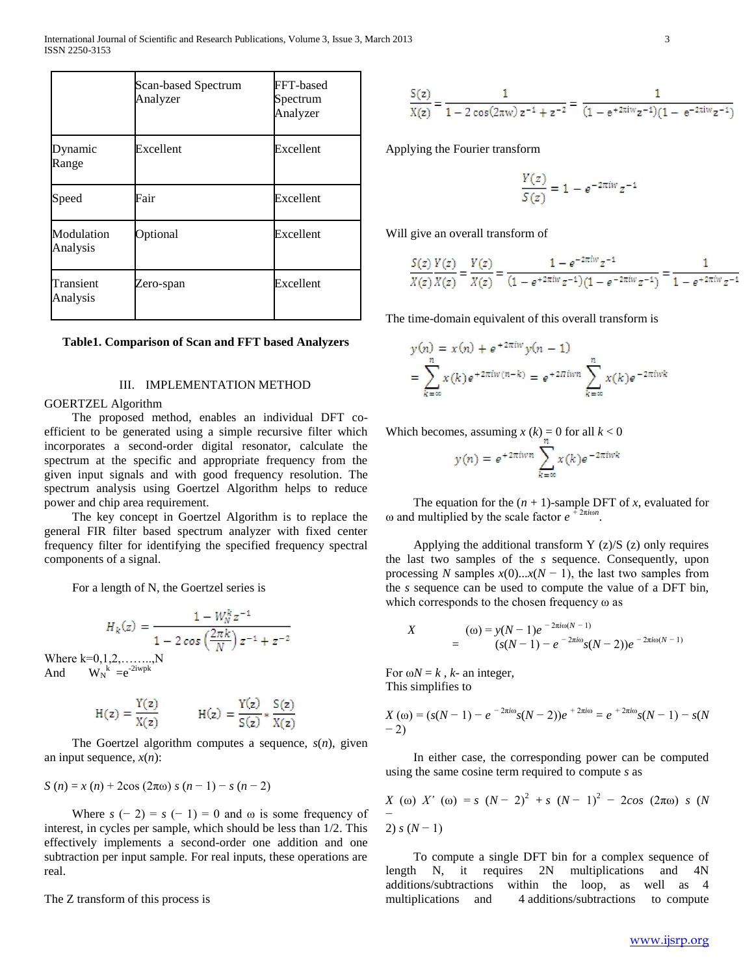International Journal of Scientific and Research Publications, Volume 3, Issue 3, March 2013 3 ISSN 2250-3153

|                        | Scan-based Spectrum<br>Analyzer | FFT-based<br>Spectrum<br>Analyzer |
|------------------------|---------------------------------|-----------------------------------|
| Dynamic<br>Range       | Excellent                       | Excellent                         |
| Speed                  | Fair                            | Excellent                         |
| Modulation<br>Analysis | Optional                        | Excellent                         |
| Transient<br>Analysis  | Zero-span                       | Excellent                         |

#### **Table1. Comparison of Scan and FFT based Analyzers**

### III. IMPLEMENTATION METHOD

## GOERTZEL Algorithm

 The proposed method, enables an individual DFT coefficient to be generated using a simple recursive filter which incorporates a second-order digital resonator, calculate the spectrum at the specific and appropriate frequency from the given input signals and with good frequency resolution. The spectrum analysis using Goertzel Algorithm helps to reduce power and chip area requirement.

 The key concept in Goertzel Algorithm is to replace the general FIR filter based spectrum analyzer with fixed center frequency filter for identifying the specified frequency spectral components of a signal.

For a length of N, the Goertzel series is

$$
H_k(z) = \frac{1 - W_N^k z^{-1}}{1 - 2\cos\left(\frac{2\pi k}{N}\right)z^{-1} + z^{-2}}
$$

Where  $k=0,1,2,......,N$ And  $W_N^k = e^{-2iwpk}$ 

$$
H(z) = \frac{Y(z)}{X(z)} \qquad H(z) = \frac{Y(z)}{S(z)} * \frac{S(z)}{X(z)}
$$

 The Goertzel algorithm computes a sequence, *s*(*n*), given an input sequence, *x*(*n*):

$$
S(n) = x(n) + 2\cos(2\pi\omega) s(n-1) - s(n-2)
$$

Where  $s(-2) = s(-1) = 0$  and  $\omega$  is some frequency of interest, in cycles per sample, which should be less than 1/2. This effectively implements a second-order one addition and one subtraction per input sample. For real inputs, these operations are real.

The Z transform of this process is

$$
\frac{S(z)}{X(z)} = \frac{1}{1 - 2\cos(2\pi w) \, z^{-1} + z^{-2}} = \frac{1}{(1 - e^{+2\pi i w} z^{-1})(1 - e^{-2\pi i w} z^{-1})}
$$

Applying the Fourier transform

$$
\frac{Y(z)}{S(z)} = 1 - e^{-2\pi i w} z^{-1}
$$

Will give an overall transform of

$$
\frac{S(z)}{\chi(z)} \frac{\gamma(z)}{\chi(z)} = \frac{\gamma(z)}{\chi(z)} = \frac{1-e^{-2\pi i w}z^{-1}}{(1-e^{+2\pi i w}z^{-1})(1-e^{-2\pi i w}z^{-1})} = \frac{1}{1-e^{+2\pi i w}z^{-1}}
$$

The time-domain equivalent of this overall transform is

$$
y(n) = x(n) + e^{+2\pi i w} y(n-1)
$$
  
= 
$$
\sum_{k=0}^{n} x(k) e^{+2\pi i w(n-k)} = e^{+2\pi i w n} \sum_{k=0}^{n} x(k) e^{-2\pi i w k}
$$

Which becomes, assuming  $x(k) = 0$  for all  $k < 0$ 

$$
y(n) = e^{+2\pi i w n} \sum_{k=\infty} x(k) e^{-2\pi i w k}
$$

The equation for the  $(n + 1)$ -sample DFT of *x*, evaluated for ω and multiplied by the scale factor  $e^{2\pi i \omega n}$ .

Applying the additional transform Y  $(z)/S$   $(z)$  only requires the last two samples of the *s* sequence. Consequently, upon processing *N* samples  $x(0) \dots x(N-1)$ , the last two samples from the *s* sequence can be used to compute the value of a DFT bin, which corresponds to the chosen frequency ω as

X 
$$
( \omega ) = y(N-1)e^{-2\pi i \omega (N-1)}
$$
  
=  $(s(N-1) - e^{-2\pi i \omega} s(N-2))e^{-2\pi i \omega (N-1)}$ 

For  $\omega N = k$ ,  $k$ - an integer, This simplifies to

$$
\begin{aligned} X\left(\omega\right) &= \left(s(N-1) - e^{-2\pi i \omega}s(N-2)\right)e^{-2\pi i \omega} = e^{-2\pi i \omega}s(N-1) - s(N-2) \end{aligned}
$$

 In either case, the corresponding power can be computed using the same cosine term required to compute *s* as

$$
X \text{ (a) } X' \text{ (a) } = s \text{ (N-2)}^2 + s \text{ (N-1)}^2 - 2cos \text{ (2}\pi\omega) s \text{ (N-2)}^2
$$
  
= 2) s (N-1)

 To compute a single DFT bin for a complex sequence of length N, it requires 2N multiplications and 4N additions/subtractions within the loop, as well as 4 multiplications and 4 additions/subtractions to compute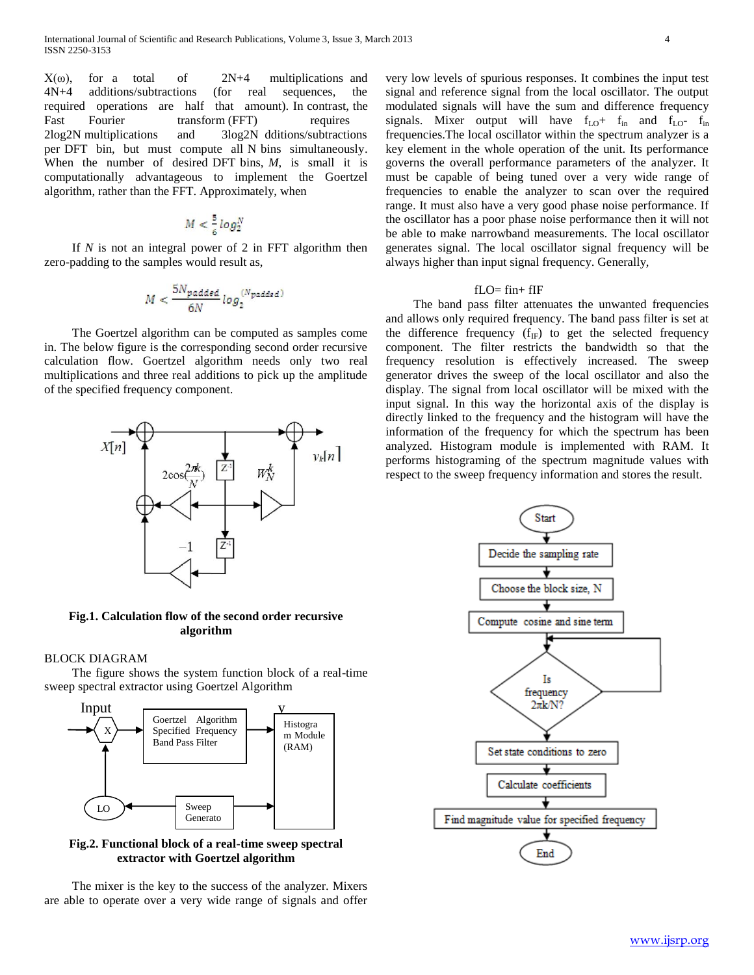$X(\omega)$ , for a total of  $2N+4$  multiplications and 4N+4 additions/subtractions (for real sequences, the required operations are half that amount). In contrast, the Fast Fourier transform (FFT) requires 2log2N multiplications and 3log2N dditions/subtractions per DFT bin, but must compute all N bins simultaneously. When the number of desired DFT bins, *M*, is small it is computationally advantageous to implement the Goertzel algorithm, rather than the FFT. Approximately, when

$$
M < \frac{5}{6} \log_2^N
$$

 If *N* is not an integral power of 2 in FFT algorithm then zero-padding to the samples would result as,

$$
M < \frac{5N_{padded}}{6N} \log_2^{(N_{padded})}
$$

 The Goertzel algorithm can be computed as samples come in. The below figure is the corresponding second order recursive calculation flow. Goertzel algorithm needs only two real multiplications and three real additions to pick up the amplitude of the specified frequency component.



# **Fig.1. Calculation flow of the second order recursive algorithm**

# BLOCK DIAGRAM

 The figure shows the system function block of a real-time sweep spectral extractor using Goertzel Algorithm



**Fig.2. Functional block of a real-time sweep spectral extractor with Goertzel algorithm**

 The mixer is the key to the success of the analyzer. Mixers are able to operate over a very wide range of signals and offer

very low levels of spurious responses. It combines the input test signal and reference signal from the local oscillator. The output modulated signals will have the sum and difference frequency signals. Mixer output will have  $f_{LO}$ +  $f_{in}$  and  $f_{LO}$ -  $f_{in}$ frequencies.The local oscillator within the spectrum analyzer is a key element in the whole operation of the unit. Its performance governs the overall performance parameters of the analyzer. It must be capable of being tuned over a very wide range of frequencies to enable the analyzer to scan over the required range. It must also have a very good phase noise performance. If the oscillator has a poor phase noise performance then it will not be able to make narrowband measurements. The local oscillator generates signal. The local oscillator signal frequency will be always higher than input signal frequency. Generally,

## $fLO=$   $fin+$   $fIF$

 The band pass filter attenuates the unwanted frequencies and allows only required frequency. The band pass filter is set at the difference frequency  $(f_{IF})$  to get the selected frequency component. The filter restricts the bandwidth so that the frequency resolution is effectively increased. The sweep generator drives the sweep of the local oscillator and also the display. The signal from local oscillator will be mixed with the input signal. In this way the horizontal axis of the display is directly linked to the frequency and the histogram will have the information of the frequency for which the spectrum has been analyzed. Histogram module is implemented with RAM. It performs histograming of the spectrum magnitude values with respect to the sweep frequency information and stores the result.

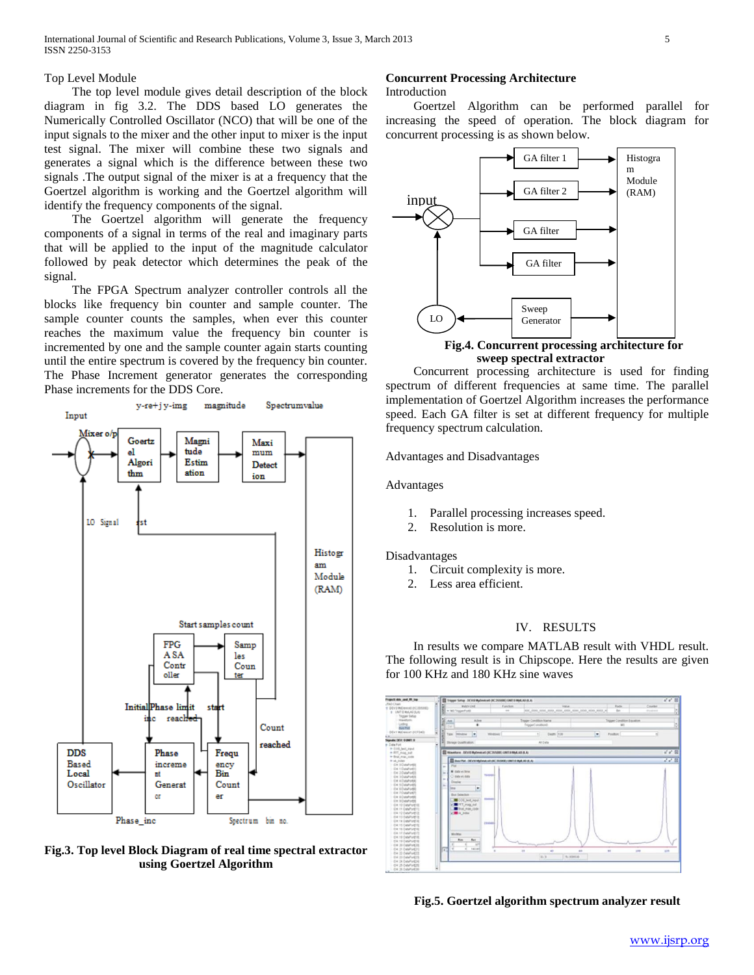# Top Level Module

 The top level module gives detail description of the block diagram in fig 3.2. The DDS based LO generates the Numerically Controlled Oscillator (NCO) that will be one of the input signals to the mixer and the other input to mixer is the input test signal. The mixer will combine these two signals and generates a signal which is the difference between these two signals .The output signal of the mixer is at a frequency that the Goertzel algorithm is working and the Goertzel algorithm will identify the frequency components of the signal.

 The Goertzel algorithm will generate the frequency components of a signal in terms of the real and imaginary parts that will be applied to the input of the magnitude calculator followed by peak detector which determines the peak of the signal.

 The FPGA Spectrum analyzer controller controls all the blocks like frequency bin counter and sample counter. The sample counter counts the samples, when ever this counter reaches the maximum value the frequency bin counter is incremented by one and the sample counter again starts counting until the entire spectrum is covered by the frequency bin counter. The Phase Increment generator generates the corresponding Phase increments for the DDS Core.



**Fig.3. Top level Block Diagram of real time spectral extractor using Goertzel Algorithm**

# **Concurrent Processing Architecture**

# Introduction

 Goertzel Algorithm can be performed parallel for increasing the speed of operation. The block diagram for concurrent processing is as shown below.



**sweep spectral extractor**

 Concurrent processing architecture is used for finding spectrum of different frequencies at same time. The parallel implementation of Goertzel Algorithm increases the performance speed. Each GA filter is set at different frequency for multiple frequency spectrum calculation.

Advantages and Disadvantages

Advantages

- 1. Parallel processing increases speed.
- 2. Resolution is more.

Disadvantages

- 1. Circuit complexity is more.
- 2. Less area efficient.

# IV. RESULTS

 In results we compare MATLAB result with VHDL result. The following result is in Chipscope. Here the results are given for 100 KHz and 180 KHz sine waves



**Fig.5. Goertzel algorithm spectrum analyzer result**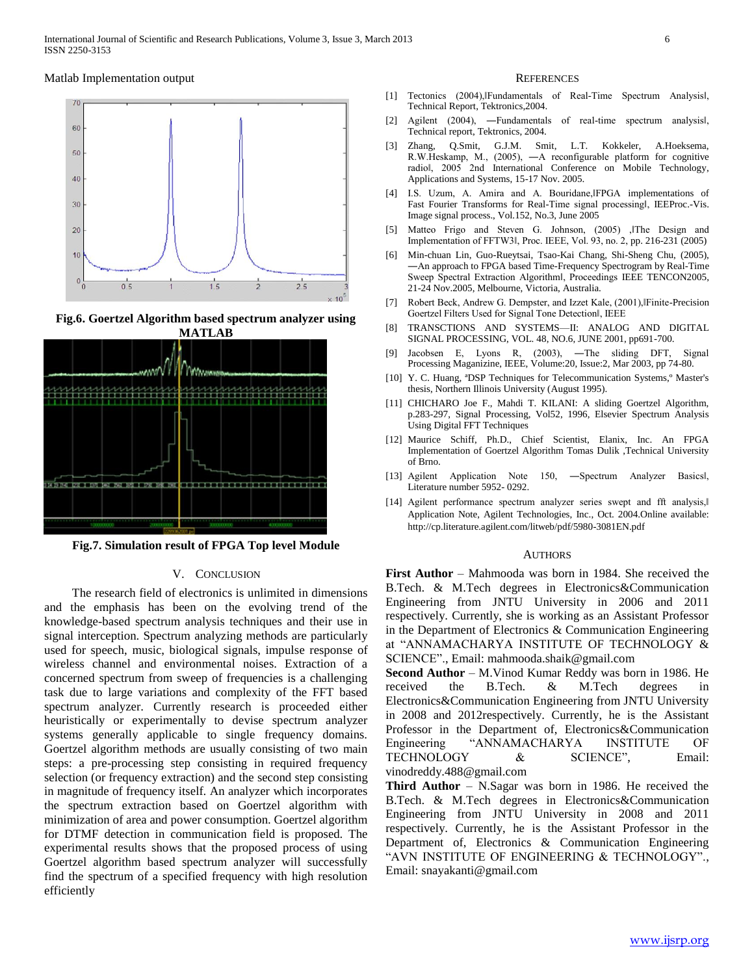

**Fig.6. Goertzel Algorithm based spectrum analyzer using MATLAB**



**Fig.7. Simulation result of FPGA Top level Module**

#### V. CONCLUSION

 The research field of electronics is unlimited in dimensions and the emphasis has been on the evolving trend of the knowledge-based spectrum analysis techniques and their use in signal interception. Spectrum analyzing methods are particularly used for speech, music, biological signals, impulse response of wireless channel and environmental noises. Extraction of a concerned spectrum from sweep of frequencies is a challenging task due to large variations and complexity of the FFT based spectrum analyzer. Currently research is proceeded either heuristically or experimentally to devise spectrum analyzer systems generally applicable to single frequency domains. Goertzel algorithm methods are usually consisting of two main steps: a pre-processing step consisting in required frequency selection (or frequency extraction) and the second step consisting in magnitude of frequency itself. An analyzer which incorporates the spectrum extraction based on Goertzel algorithm with minimization of area and power consumption. Goertzel algorithm for DTMF detection in communication field is proposed. The experimental results shows that the proposed process of using Goertzel algorithm based spectrum analyzer will successfully find the spectrum of a specified frequency with high resolution efficiently

#### **REFERENCES**

- [1] Tectonics (2004), |Fundamentals of Real-Time Spectrum Analysis|, Technical Report, Tektronics,2004.
- [2] Agilent (2004), —Fundamentals of real-time spectrum analysisl, Technical report, Tektronics, 2004.
- [3] Zhang, Q.Smit, G.J.M. Smit, L.T. Kokkeler, A.Hoeksema, R.W.Heskamp, M., (2005), ―A reconfigurable platform for cognitive radio‖, 2005 2nd International Conference on Mobile Technology, Applications and Systems, 15-17 Nov. 2005.
- [4] I.S. Uzum, A. Amira and A. Bouridane, IFPGA implementations of Fast Fourier Transforms for Real-Time signal processingl, IEEProc.-Vis. Image signal process., Vol.152, No.3, June 2005
- [5] Matteo Frigo and Steven G. Johnson, (2005) , The Design and Implementation of FFTW3‖, Proc. IEEE, Vol. 93, no. 2, pp. 216-231 (2005)
- [6] Min-chuan Lin, Guo-Rueytsai, Tsao-Kai Chang, Shi-Sheng Chu, (2005), ―An approach to FPGA based Time-Frequency Spectrogram by Real-Time Sweep Spectral Extraction Algorithml, Proceedings IEEE TENCON2005, 21-24 Nov.2005, Melbourne, Victoria, Australia.
- [7] Robert Beck, Andrew G. Dempster, and Izzet Kale, (2001), Finite-Precision Goertzel Filters Used for Signal Tone Detection‖, IEEE
- [8] TRANSCTIONS AND SYSTEMS—II: ANALOG AND DIGITAL SIGNAL PROCESSING, VOL. 48, NO.6, JUNE 2001, pp691-700.
- [9] Jacobsen E, Lyons R, (2003), ―The sliding DFT, Signal Processing Maganizine, IEEE, Volume:20, Issue:2, Mar 2003, pp 74-80.
- [10] Y. C. Huang, <sup>a</sup>DSP Techniques for Telecommunication Systems,<sup>o</sup> Master's thesis, Northern Illinois University (August 1995).
- [11] CHICHARO Joe F., Mahdi T. KILANI: A sliding Goertzel Algorithm, p.283-297, Signal Processing, Vol52, 1996, Elsevier Spectrum Analysis Using Digital FFT Techniques
- [12] Maurice Schiff, Ph.D., Chief Scientist, Elanix, Inc. An FPGA Implementation of Goertzel Algorithm Tomas Dulik ,Technical University of Brno.
- [13] Agilent Application Note 150, -Spectrum Analyzer Basicsl, Literature number 5952- 0292.
- [14] Agilent performance spectrum analyzer series swept and fft analysis, Application Note, Agilent Technologies, Inc., Oct. 2004.Online available: <http://cp.literature.agilent.com/litweb/pdf/5980-3081EN.pdf>

#### AUTHORS

**First Author** – Mahmooda was born in 1984. She received the B.Tech. & M.Tech degrees in Electronics&Communication Engineering from JNTU University in 2006 and 2011 respectively. Currently, she is working as an Assistant Professor in the Department of Electronics & Communication Engineering at "ANNAMACHARYA INSTITUTE OF TECHNOLOGY & SCIENCE"., Email: mahmooda.shaik@gmail.com

**Second Author** – M.Vinod Kumar Reddy was born in 1986. He received the B.Tech. & M.Tech degrees in Electronics&Communication Engineering from JNTU University in 2008 and 2012respectively. Currently, he is the Assistant Professor in the Department of, Electronics&Communication Engineering "ANNAMACHARYA INSTITUTE OF TECHNOLOGY & SCIENCE", Email: vinodreddy.488@gmail.com

**Third Author** – N.Sagar was born in 1986. He received the B.Tech. & M.Tech degrees in Electronics&Communication Engineering from JNTU University in 2008 and 2011 respectively. Currently, he is the Assistant Professor in the Department of, Electronics & Communication Engineering "AVN INSTITUTE OF ENGINEERING & TECHNOLOGY"., Email: snayakanti@gmail.com